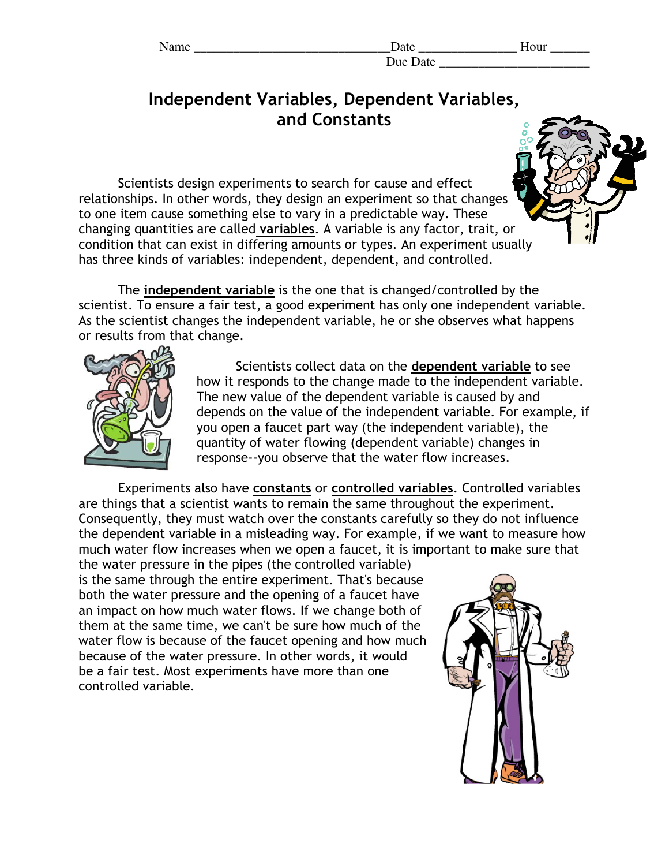| am<br>г |  |
|---------|--|
|         |  |

## Independent Variables, Dependent Variables, and Constants

Scientists design experiments to search for cause and effect relationships. In other words, they design an experiment so that changes to one item cause something else to vary in a predictable way. These changing quantities are called variables. A variable is any factor, trait, or condition that can exist in differing amounts or types. An experiment usually has three kinds of variables: independent, dependent, and controlled.

The independent variable is the one that is changed/controlled by the scientist. To ensure a fair test, a good experiment has only one independent variable. As the scientist changes the independent variable, he or she observes what happens or results from that change.



Scientists collect data on the dependent variable to see how it responds to the change made to the independent variable. The new value of the dependent variable is caused by and depends on the value of the independent variable. For example, if you open a faucet part way (the independent variable), the quantity of water flowing (dependent variable) changes in response--you observe that the water flow increases.

Experiments also have constants or controlled variables. Controlled variables are things that a scientist wants to remain the same throughout the experiment. Consequently, they must watch over the constants carefully so they do not influence the dependent variable in a misleading way. For example, if we want to measure how much water flow increases when we open a faucet, it is important to make sure that

the water pressure in the pipes (the controlled variable) is the same through the entire experiment. That's because both the water pressure and the opening of a faucet have an impact on how much water flows. If we change both of them at the same time, we can't be sure how much of the water flow is because of the faucet opening and how much because of the water pressure. In other words, it would be a fair test. Most experiments have more than one controlled variable.